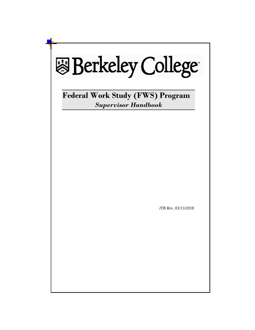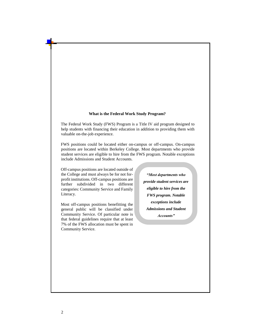#### **What is the Federal Work Study Program?**

The Federal Work Study (FWS) Program is a Title IV aid program designed to help students with financing their education in addition to providing them with valuable on-the-job experience.

FWS positions could be located either on-campus or off-campus. On-campus positions are located within Berkeley College. Most departments who provide student services are eligible to hire from the FWS program. Notable exceptions include Admissions and Student Accounts.

Off-campus positions are located outside of the College and must always be for not forprofit institutions. Off-campus positions are further subdivided in two different categories: Community Service and Family Literacy.

Most off-campus positions benefitting the general public will be classified under Community Service. Of particular note is that federal guidelines require that at least 7% of the FWS allocation must be spent in Community Service.

*"Most departments who provide student services are eligible to hire from the FWS program. Notable exceptions include Admissions and Student Accounts"*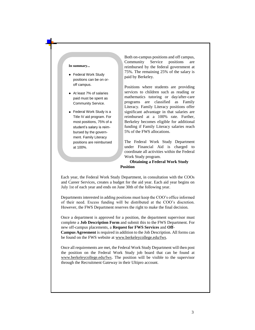### **In summary...**

- Federal Work Study positions can be on oroff campus.
- At least 7% of salaries paid must be spent as Community Service.
- Federal Work Study is a Title IV aid program. For most positions, 75% of a student's salary is reimbursed by the government. Family Literacy positions are reimbursed at 100%.

Both on-campus positions and off campus, Community Service positions are reimbursed by the federal government at 75%. The remaining 25% of the salary is paid by Berkeley.

Positions where students are providing services to children such as reading or mathematics tutoring or day/after-care programs are classified as Family Literacy. Family Literacy positions offer significant advantage in that salaries are reimbursed at a 100% rate. Further, Berkeley becomes eligible for additional funding if Family Literacy salaries reach 5% of the FWS allocations.

The Federal Work Study Department under Financial Aid is charged to coordinate all activities within the Federal Work Study program.

**Obtaining a Federal Work Study Position** 

Each year, the Federal Work Study Department, in consultation with the COOs and Career Services, creates a budget for the aid year. Each aid year begins on July 1st of each year and ends on June 30th of the following year.

Departments interested in adding positions must keep the COO's office informed of their need. Excess funding will be distributed at the COO's discretion. However, the FWS Department reserves the right to make the final decision.

Once a department is approved for a position, the department supervisor must complete a **Job Description Form** and submit this to the FWS Department. For new off-campus placements, a **Request for FWS Services** and **Off-Campus Agreement** is required in addition to the Job Description. All forms can be found on the FWS website at [www.berkeleycollege.edu/fws.](http://www.berkeleycollege.edu/fws) 

Once all requirements are met, the Federal Work Study Department will then post the position on the Federal Work Study job board that can be found at [www.berkeleycollege.edu/fws. T](http://www.berkeleycollege.edu/fws)he position will be visible to the supervisor through the Recruitment Gateway in their Ultipro account.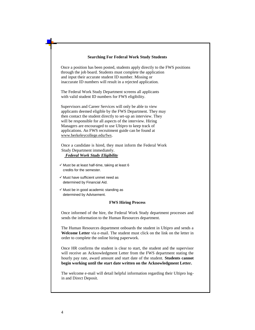| <b>Searching For Federal Work Study Students</b>                                                                                                                                                                                                                                                                                                                                                               |  |  |  |  |
|----------------------------------------------------------------------------------------------------------------------------------------------------------------------------------------------------------------------------------------------------------------------------------------------------------------------------------------------------------------------------------------------------------------|--|--|--|--|
| Once a position has been posted, students apply directly to the FWS positions<br>through the job board. Students must complete the application<br>and input their accurate student ID number. Missing or<br>inaccurate ID numbers will result in a rejected application.                                                                                                                                       |  |  |  |  |
| The Federal Work Study Department screens all applicants<br>with valid student ID numbers for FWS eligibility.                                                                                                                                                                                                                                                                                                 |  |  |  |  |
| Supervisors and Career Services will only be able to view<br>applicants deemed eligible by the FWS Department. They may<br>then contact the student directly to set-up an interview. They<br>will be responsible for all aspects of the interview. Hiring<br>Managers are encouraged to use Ultipro to keep track of<br>applications. An FWS recruitment guide can be found at<br>www.berkeleycollege.edu/fws. |  |  |  |  |
| Once a candidate is hired, they must inform the Federal Work<br>Study Department immediately.<br><b>Federal Work Study Eligibility</b>                                                                                                                                                                                                                                                                         |  |  |  |  |
| $\checkmark$ Must be at least half-time, taking at least 6<br>credits for the semester.                                                                                                                                                                                                                                                                                                                        |  |  |  |  |
| $\checkmark$ Must have sufficient unmet need as<br>determined by Financial Aid.                                                                                                                                                                                                                                                                                                                                |  |  |  |  |
| $\checkmark$ Must be in good academic standing as<br>determined by Advisement.                                                                                                                                                                                                                                                                                                                                 |  |  |  |  |
| <b>FWS Hiring Process</b>                                                                                                                                                                                                                                                                                                                                                                                      |  |  |  |  |
| Once informed of the hire, the Federal Work Study department processes and<br>sends the information to the Human Resources department.                                                                                                                                                                                                                                                                         |  |  |  |  |
| The Human Resources department onboards the student in Ultipro and sends a<br>Welcome Letter via e-mail. The student must click on the link on the letter in<br>order to complete the online hiring paperwork.                                                                                                                                                                                                 |  |  |  |  |
| Once HR confirms the student is clear to start, the student and the supervisor<br>will receive an Acknowledgment Letter from the FWS department stating the<br>hourly pay rate, award amount and start date of the student. Students cannot<br>begin working until the start date written on the Acknowledgment Letter.                                                                                        |  |  |  |  |
| The welcome e-mail will detail helpful information regarding their Ultipro log-<br>in and Direct Deposit.                                                                                                                                                                                                                                                                                                      |  |  |  |  |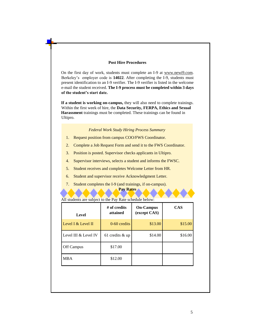### **Post Hire Procedures**

On the first day of work, students must complete an I-9 at [www.newi9.com.](http://www.newi9.com/) Berkeley's employer code is **14022**. After completing the I-9, students must present identification to an I-9 verifier. The I-9 verifier is listed in the welcome e-mail the student received. **The I-9 process must be completed within 3 days of the student's start date.**

**If a student is working on-campus,** they will also need to complete trainings. Within the first week of hire, the **Data Security, FERPA, Ethics and Sexual Harassment** trainings must be completed. These trainings can be found in Ultipro.

*Federal Work Study Hiring Process Summary* 

- 1. Request position from campus COO/FWS Coordinator.
- 2. Complete a Job Request Form and send it to the FWS Coordinator.
- 3. Position is posted. Supervisor checks applicants in Ultipro.
- 4. Supervisor interviews, selects a student and informs the FWSC.
- 5. Student receives and completes Welcome Letter from HR.
- 6. Student and supervisor receive Acknowledgment Letter.
- 7. Student completes the I-9 (and trainings, if on-campus).

**Pay Rates** 

All students are subject to the Pay Rate schedule below:

| <b>Level</b>         | $#$ of credits<br>attained | <b>On-Campus</b><br>(except CAS) | <b>CAS</b> |
|----------------------|----------------------------|----------------------------------|------------|
| Level I & Level II   | $0-60$ credits             | \$13.00                          | \$15.00    |
| Level III & Level IV | 61 credits $&$ up          | \$14.00                          | \$16.00    |
| Off Campus           | \$17.00                    |                                  |            |
| <b>MBA</b>           | \$12.00                    |                                  |            |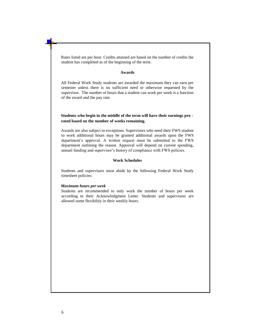Rates listed are per hour. Credits attained are based on the number of credits the student has completed as of the beginning of the term.

#### **Awards**

All Federal Work Study students are awarded the maximum they can earn per semester unless there is no sufficient need or otherwise requested by the supervisor. The number of hours that a student can work per week is a function of the award and the pay rate.

# **Students who begin in the middle of the term will have their earnings pro rated based on the number of weeks remaining.**

Awards are also subject to exceptions. Supervisors who need their FWS student to work additional hours may be granted additional awards upon the FWS department's approval. A written request must be submitted to the FWS department outlining the reason. Approval will depend on current spending, annual funding and supervisor's history of compliance with FWS policies.

## **Work Schedules**

Students and supervisors must abide by the following Federal Work Study timesheet policies:

### *Maximum hours per week*

Students are recommended to only work the number of hours per week according to their Acknowledgment Letter. Students and supervisors are allowed some flexibility in their weekly hours.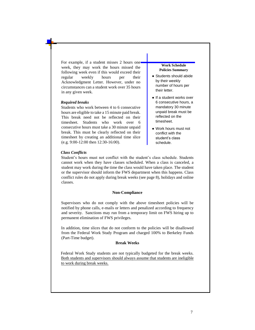For example, if a student misses 2 hours one week, they may work the hours missed the following week even if this would exceed their regular weekly hours per their Acknowledgment Letter. However, under no circumstances can a student work over 35 hours in any given week.

#### *Required breaks*

Students who work between 4 to 6 consecutive hours are eligible to take a 15 minute paid break. This break need not be reflected on their timesheet. Students who work over 6 consecutive hours must take a 30 minute unpaid break. This must be clearly reflected on their timesheet by creating an additional time slice (e.g. 9:00-12:00 then 12:30-16:00).

#### **Work Schedule Policies Summary**

- Students should abide by their weekly number of hours per their letter.
- If a student works over 6 consecutive hours, a mandatory 30 minute unpaid break must be reflected on the timesheet.
- Work hours must not conflict with the student's class schedule.

#### *Class Conflicts*

Student's hours must not conflict with the student's class schedule. Students cannot work when they have classes scheduled. When a class is canceled, a student may work during the time the class would have taken place. The student or the supervisor should inform the FWS department when this happens. Class conflict rules do not apply during break weeks (see page 8), holidays and online classes.

## **Non-Compliance**

Supervisors who do not comply with the above timesheet policies will be notified by phone calls, e-mails or letters and penalized according to frequency and severity. Sanctions may run from a temporary limit on FWS hiring up to permanent elimination of FWS privileges.

In addition, time slices that do not conform to the policies will be disallowed from the Federal Work Study Program and charged 100% to Berkeley Funds (Part-Time budget).

## **Break Weeks**

Federal Work Study students are not typically budgeted for the break weeks. Both students and supervisors should always assume that students are ineligible to work during break weeks.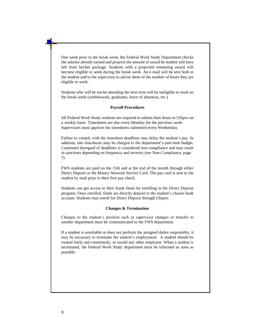One week prior to the break week, the Federal Work Study Department checks the salaries already earned and projects the amount of award he student will have left from his/her package. Students with a projected remaining award will become eligible to work during the break week. An e-mail will be sent both to the student and to the supervisor to advise them of the number of hours they are eligible to work.

Students who will be not be attending the next term will be ineligible to work on the break week (withdrawals, graduates, leave of absences, etc.)

## **Payroll Procedures**

All Federal Work Study students are required to submit their hours in Ultipro on a weekly basis. Timesheets are due every Monday for the previous week. Supervisors must approve the timesheets submitted every Wednesday.

Failure to comply with the timesheet deadlines may delay the student's pay. In addition, late timesheets may be charged to the department's part-time budget. Continued disregard of deadlines is considered non-compliance and may result in sanctions depending on frequency and severity (see Non-Compliance, page 7)

FWS students are paid on the 15th and at the end of the month through either Direct Deposit or the Money Network Service Card. The pay card is sent to the student by mail prior to their first pay check.

Students can get access to their funds faster by enrolling in the Direct Deposit program. Once enrolled, funds are directly deposit to the student's chosen bank account. Students may enroll for Direct Deposit through Ultipro.

### **Changes & Termination**

Changes to the student's position such as supervisor changes or transfer to another department must be communicated to the FWS department.

If a student is unreliable or does not perform the assigned duties responsibly, it may be necessary to terminate the student's employment. A student should be treated fairly and courteously, as would any other employee. When a student is terminated, the Federal Work Study department must be informed as soon as possible.